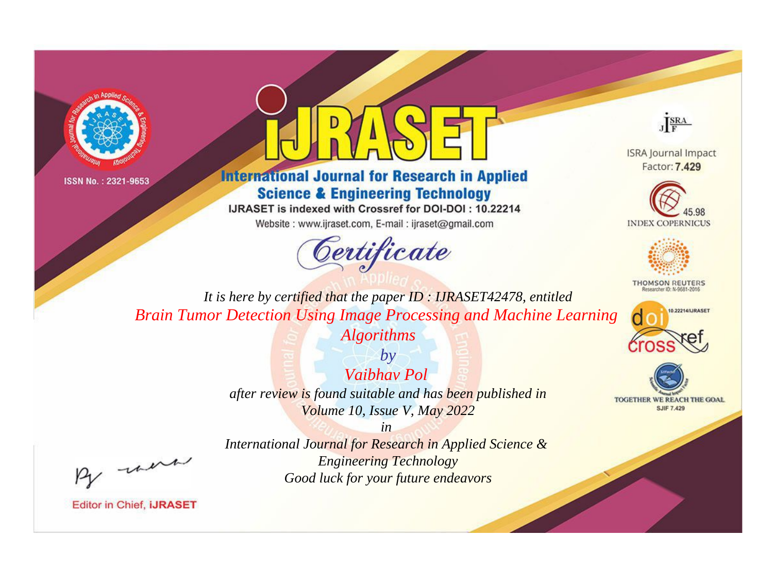



# **International Journal for Research in Applied Science & Engineering Technology**

IJRASET is indexed with Crossref for DOI-DOI: 10.22214

Website: www.ijraset.com, E-mail: ijraset@gmail.com



JERA

**ISRA Journal Impact** Factor: 7.429





**THOMSON REUTERS** 



TOGETHER WE REACH THE GOAL **SJIF 7.429** 

It is here by certified that the paper ID: IJRASET42478, entitled **Brain Tumor Detection Using Image Processing and Machine Learning Algorithms** 

> $by$ Vaibhay Pol. after review is found suitable and has been published in Volume 10, Issue V, May 2022

were

International Journal for Research in Applied Science & **Engineering Technology** Good luck for your future endeavors

 $in$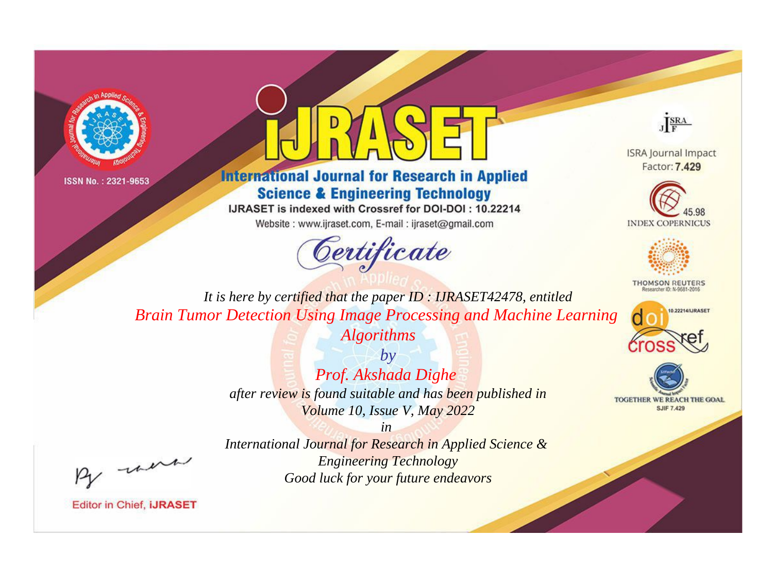



# **International Journal for Research in Applied Science & Engineering Technology**

IJRASET is indexed with Crossref for DOI-DOI: 10.22214

Website: www.ijraset.com, E-mail: ijraset@gmail.com



JERA

**ISRA Journal Impact** Factor: 7.429





**THOMSON REUTERS** 



TOGETHER WE REACH THE GOAL **SJIF 7.429** 

It is here by certified that the paper ID: IJRASET42478, entitled **Brain Tumor Detection Using Image Processing and Machine Learning Algorithms** 

> $by$ Prof. Akshada Dighe after review is found suitable and has been published in Volume 10, Issue V, May 2022

were

International Journal for Research in Applied Science & **Engineering Technology** Good luck for your future endeavors

 $in$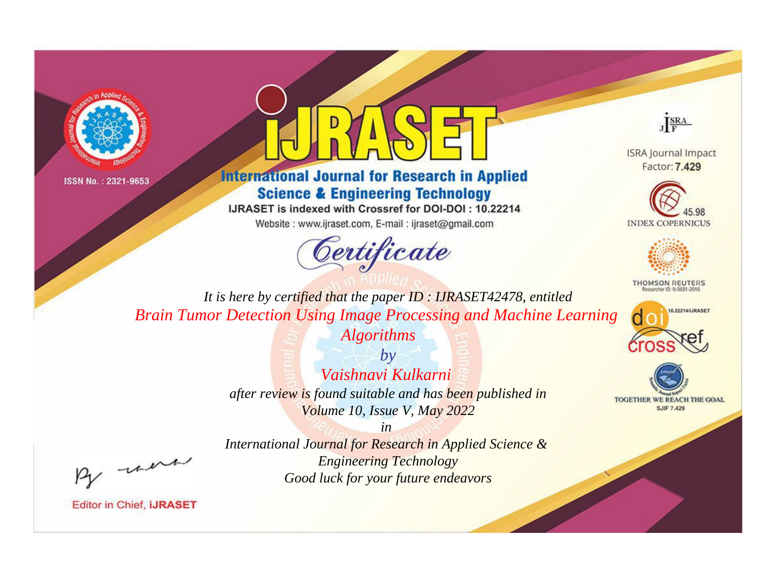



# **International Journal for Research in Applied Science & Engineering Technology**

IJRASET is indexed with Crossref for DOI-DOI: 10.22214

Website: www.ijraset.com, E-mail: ijraset@gmail.com



JERA

**ISRA Journal Impact** Factor: 7.429





**THOMSON REUTERS** 



TOGETHER WE REACH THE GOAL **SJIF 7.429** 

It is here by certified that the paper ID: IJRASET42478, entitled **Brain Tumor Detection Using Image Processing and Machine Learning Algorithms** 

> $b\nu$ Vaishnavi Kulkarni after review is found suitable and has been published in Volume 10, Issue V, May 2022

were

International Journal for Research in Applied Science & **Engineering Technology** Good luck for your future endeavors

 $in$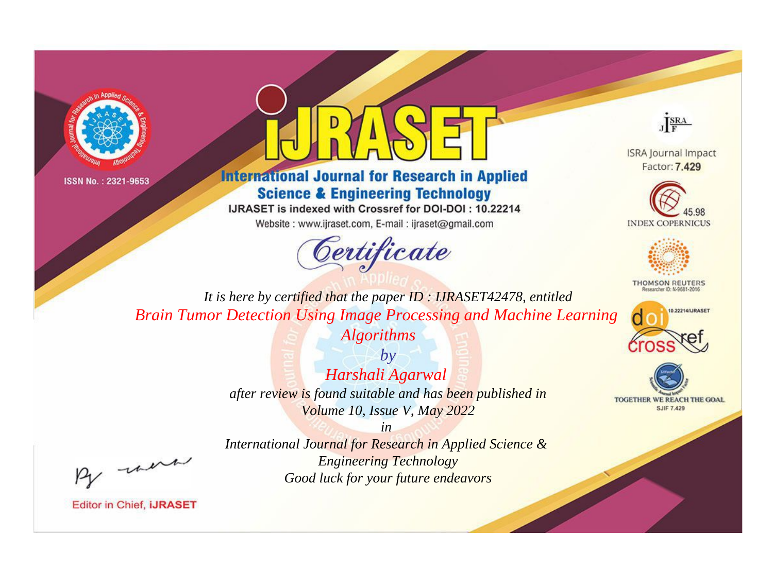



# **International Journal for Research in Applied Science & Engineering Technology**

IJRASET is indexed with Crossref for DOI-DOI: 10.22214

Website: www.ijraset.com, E-mail: ijraset@gmail.com



JERA

**ISRA Journal Impact** Factor: 7.429





**THOMSON REUTERS** 



TOGETHER WE REACH THE GOAL **SJIF 7.429** 

It is here by certified that the paper ID: IJRASET42478, entitled **Brain Tumor Detection Using Image Processing and Machine Learning Algorithms** 

> $by$ Harshali Agarwal after review is found suitable and has been published in Volume 10, Issue V, May 2022

were

International Journal for Research in Applied Science & **Engineering Technology** Good luck for your future endeavors

 $in$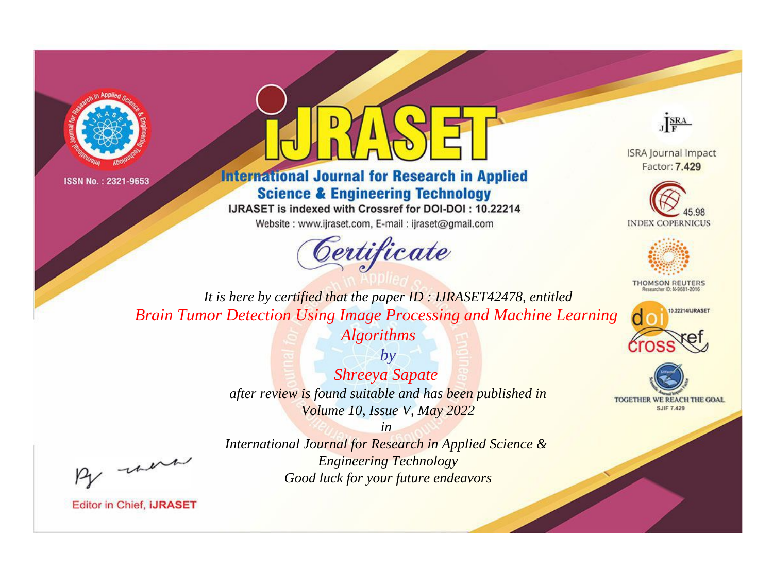



# **International Journal for Research in Applied Science & Engineering Technology**

IJRASET is indexed with Crossref for DOI-DOI : 10.22214

Website: www.ijraset.com, E-mail: ijraset@gmail.com



JERA

**ISRA Journal Impact** Factor: 7.429





**THOMSON REUTERS** 



TOGETHER WE REACH THE GOAL **SJIF 7.429** 

It is here by certified that the paper ID: IJRASET42478, entitled **Brain Tumor Detection Using Image Processing and Machine Learning Algorithms** 

> $by$ **Shreeya Sapate** after review is found suitable and has been published in Volume 10, Issue V, May 2022

were

International Journal for Research in Applied Science & **Engineering Technology** Good luck for your future endeavors

 $in$